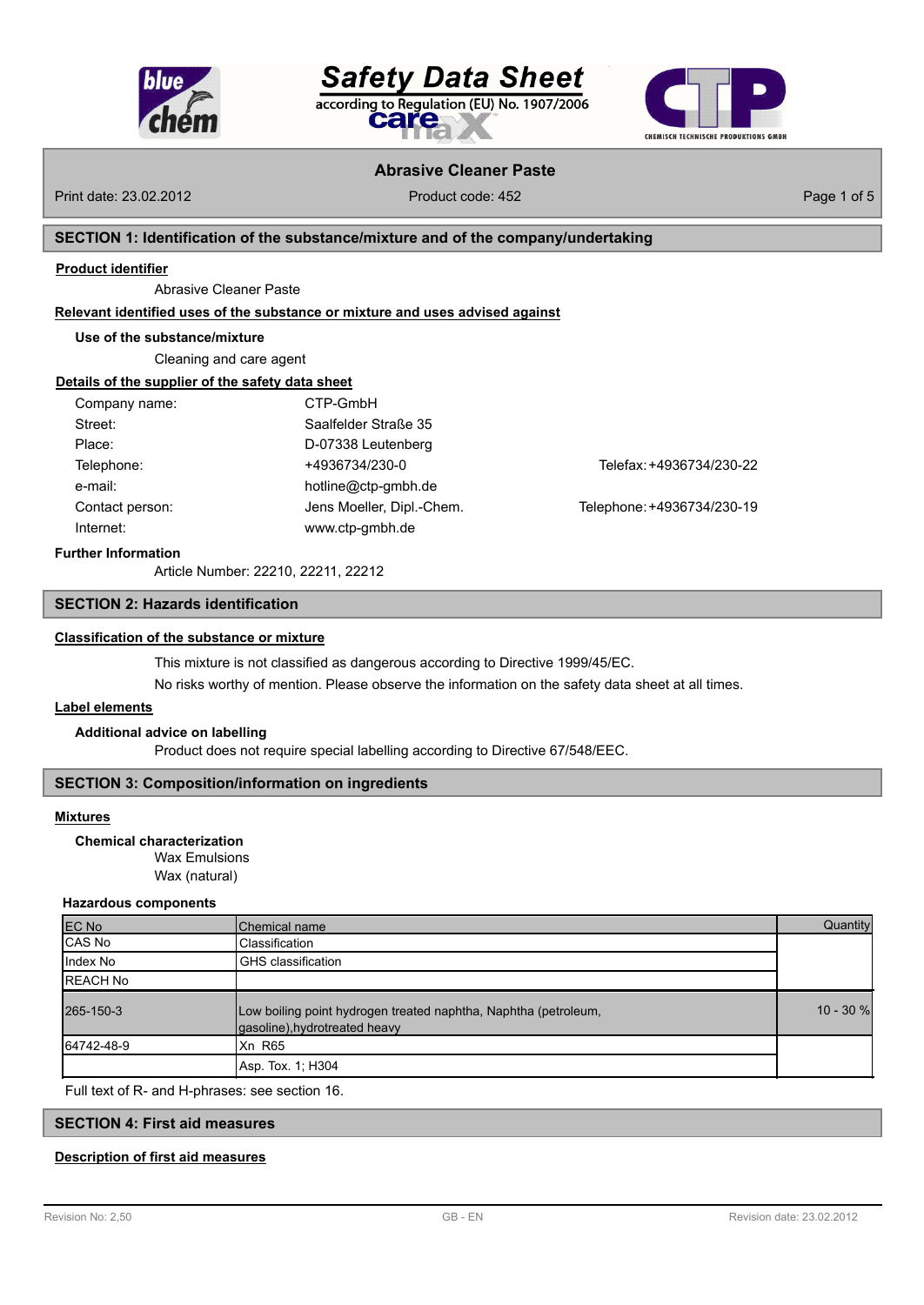





# **Abrasive Cleaner Paste**

Print date: 23.02.2012 **Product code: 452** Product code: 452 Page 1 of 5

## **SECTION 1: Identification of the substance/mixture and of the company/undertaking**

#### **Product identifier**

Abrasive Cleaner Paste

#### **Relevant identified uses of the substance or mixture and uses advised against**

#### **Use of the substance/mixture**

Cleaning and care agent

#### **Details of the supplier of the safety data sheet**

| Company name:   | CTP-GmbH                  |                            |
|-----------------|---------------------------|----------------------------|
| Street:         | Saalfelder Straße 35      |                            |
| Place:          | D-07338 Leutenberg        |                            |
| Telephone:      | +4936734/230-0            | Telefax: +4936734/230-22   |
| e-mail:         | hotline@ctp-gmbh.de       |                            |
| Contact person: | Jens Moeller, Dipl.-Chem. | Telephone: +4936734/230-19 |
| Internet:       | www.ctp-gmbh.de           |                            |
|                 |                           |                            |

## **Further Information**

Article Number: 22210, [22211, 22212](mailto:hotline@ctp-gmbh.de)

# **SECTION 2: Hazards identification**

# **Classification of the substance or mixture**

This mixture is not classified as dangerous according to Directive 1999/45/EC.

No risks worthy of mention. Please observe the information on the safety data sheet at all times.

# **Label elements**

#### **Additional advice on labelling**

Product does not require special labelling according to Directive 67/548/EEC.

## **SECTION 3: Composition/information on ingredients**

#### **Mixtures**

Wax Emulsions Wax (natural) **Chemical characterization**

#### **Hazardous components**

| EC No            | Chemical name                                                                                    | Quantity     |
|------------------|--------------------------------------------------------------------------------------------------|--------------|
| CAS No           | Classification                                                                                   |              |
| Index No         | <b>GHS</b> classification                                                                        |              |
| <b>IREACH No</b> |                                                                                                  |              |
| 265-150-3        | Low boiling point hydrogen treated naphtha, Naphtha (petroleum,<br>gasoline), hydrotreated heavy | $10 - 30 \%$ |
| 64742-48-9       | <b>Xn R65</b>                                                                                    |              |
|                  | Asp. Tox. 1: H304                                                                                |              |

Full text of R- and H-phrases: see section 16.

#### **SECTION 4: First aid measures**

# **Description of first aid measures**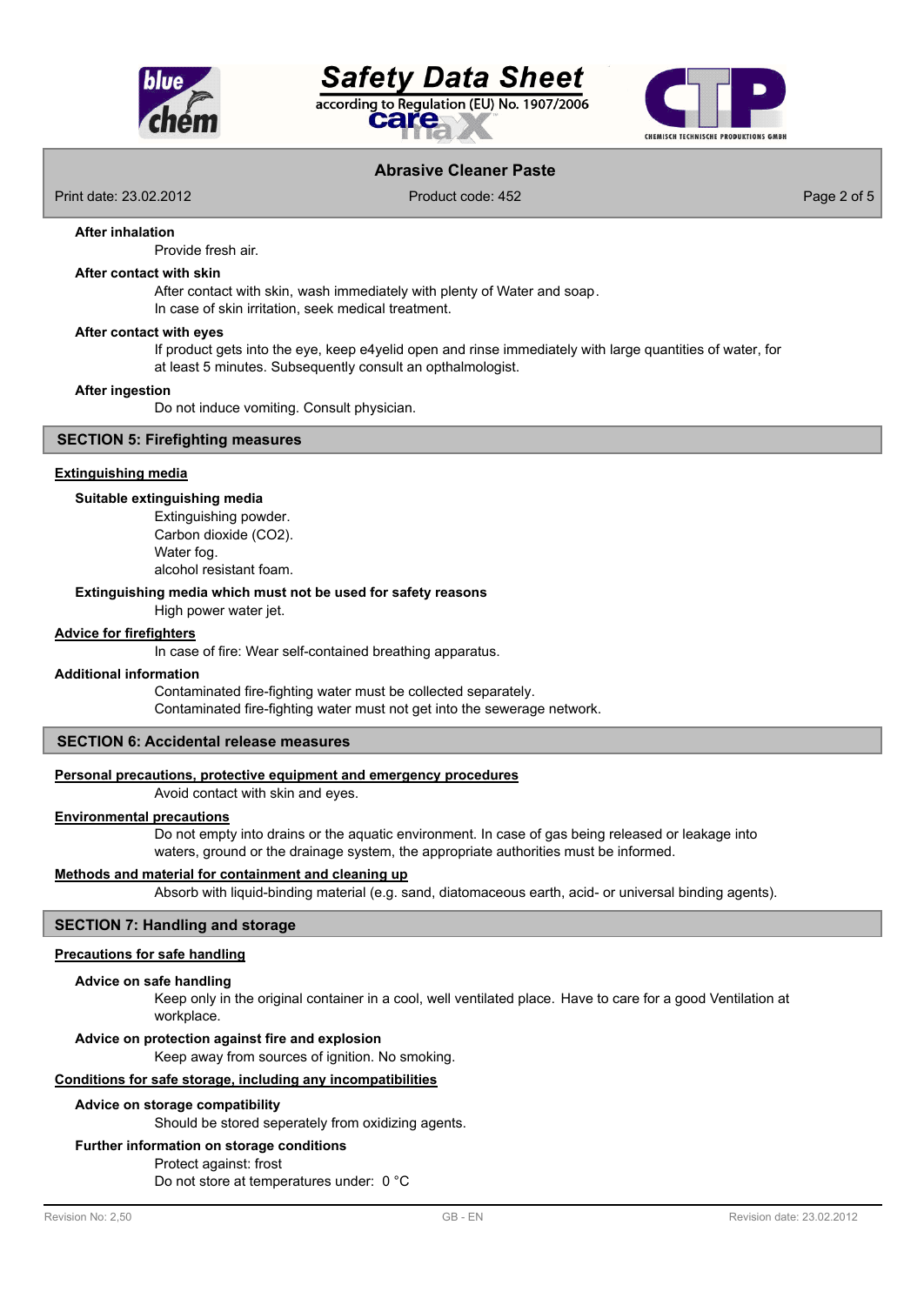





# **Abrasive Cleaner Paste**

Print date: 23.02.2012 Product code: 452 Page 2 of 5

#### **After inhalation**

Provide fresh air.

#### **After contact with skin**

After contact with skin, wash immediately with plenty of Water and soap. In case of skin irritation, seek medical treatment.

#### **After contact with eyes**

If product gets into the eye, keep e4yelid open and rinse immediately with large quantities of water, for at least 5 minutes. Subsequently consult an opthalmologist.

#### **After ingestion**

Do not induce vomiting. Consult physician.

## **SECTION 5: Firefighting measures**

#### **Extinguishing media**

#### **Suitable extinguishing media**

Extinguishing powder. Carbon dioxide (CO2). Water fog. alcohol resistant foam.

## **Extinguishing media which must not be used for safety reasons**

High power water jet.

#### **Advice for firefighters**

In case of fire: Wear self-contained breathing apparatus.

#### **Additional information**

Contaminated fire-fighting water must be collected separately. Contaminated fire-fighting water must not get into the sewerage network.

#### **SECTION 6: Accidental release measures**

#### **Personal precautions, protective equipment and emergency procedures**

Avoid contact with skin and eyes.

#### **Environmental precautions**

Do not empty into drains or the aquatic environment. In case of gas being released or leakage into waters, ground or the drainage system, the appropriate authorities must be informed.

#### **Methods and material for containment and cleaning up**

Absorb with liquid-binding material (e.g. sand, diatomaceous earth, acid- or universal binding agents).

# **SECTION 7: Handling and storage**

# **Precautions for safe handling**

# **Advice on safe handling**

Keep only in the original container in a cool, well ventilated place. Have to care for a good Ventilation at workplace.

# **Advice on protection against fire and explosion**

Keep away from sources of ignition. No smoking.

# **Conditions for safe storage, including any incompatibilities**

# **Advice on storage compatibility**

Should be stored seperately from oxidizing agents.

# **Further information on storage conditions**

# Protect against: frost

Do not store at temperatures under: 0 °C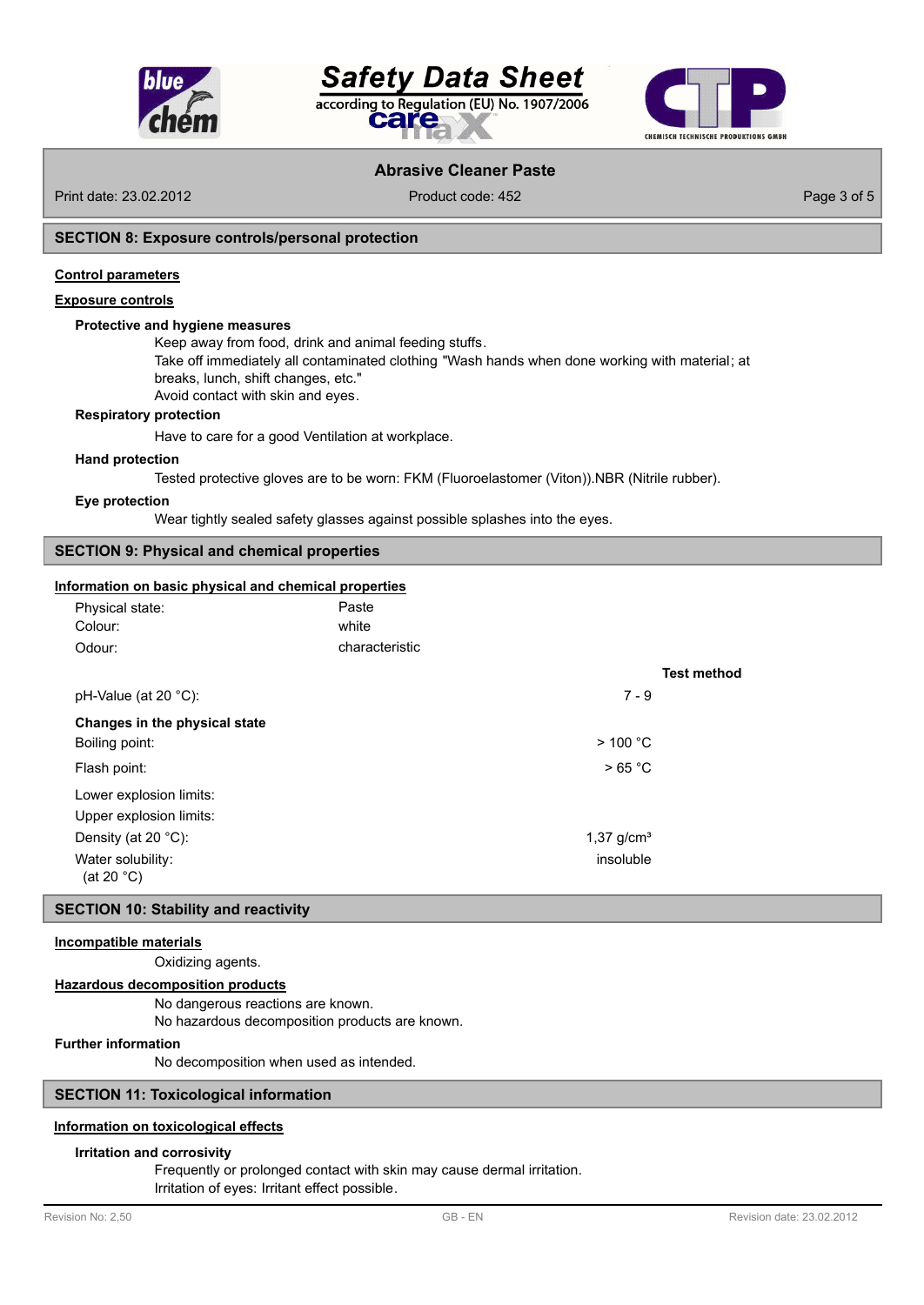

# **Safety Data Sheet** according to Regulation (EU) No. 1907/2006 care



# **Abrasive Cleaner Paste**

Print date: 23.02.2012 Product code: 452 Page 3 of 5

## **SECTION 8: Exposure controls/personal protection**

#### **Control parameters**

#### **Exposure controls**

## **Protective and hygiene measures**

Keep away from food, drink and animal feeding stuffs.

Take off immediately all contaminated clothing "Wash hands when done working with material; at

breaks, lunch, shift changes, etc."

Avoid contact with skin and eyes.

## **Respiratory protection**

Have to care for a good Ventilation at workplace.

#### **Hand protection**

Tested protective gloves are to be worn: FKM (Fluoroelastomer (Viton)).NBR (Nitrile rubber).

#### **Eye protection**

Wear tightly sealed safety glasses against possible splashes into the eyes.

# **SECTION 9: Physical and chemical properties**

#### **Information on basic physical and chemical properties**

| Physical state:<br>Colour:                | Paste<br>white |                    |
|-------------------------------------------|----------------|--------------------|
| Odour:                                    | characteristic |                    |
|                                           |                | <b>Test method</b> |
| pH-Value (at 20 $^{\circ}$ C):            | $7 - 9$        |                    |
| Changes in the physical state             |                |                    |
| Boiling point:                            | $>$ 100 °C     |                    |
| Flash point:                              | >65 °C         |                    |
| Lower explosion limits:                   |                |                    |
| Upper explosion limits:                   |                |                    |
| Density (at 20 $^{\circ}$ C):             | 1,37 $q/cm3$   |                    |
| Water solubility:<br>(at 20 $^{\circ}$ C) | insoluble      |                    |

#### **SECTION 10: Stability and reactivity**

#### **Incompatible materials**

Oxidizing agents.

#### **Hazardous decomposition products**

No dangerous reactions are known.

No hazardous decomposition products are known.

# **Further information**

No decomposition when used as intended.

# **SECTION 11: Toxicological information**

## **Information on toxicological effects**

#### **Irritation and corrosivity**

Frequently or prolonged contact with skin may cause dermal irritation.

Irritation of eyes: Irritant effect possible.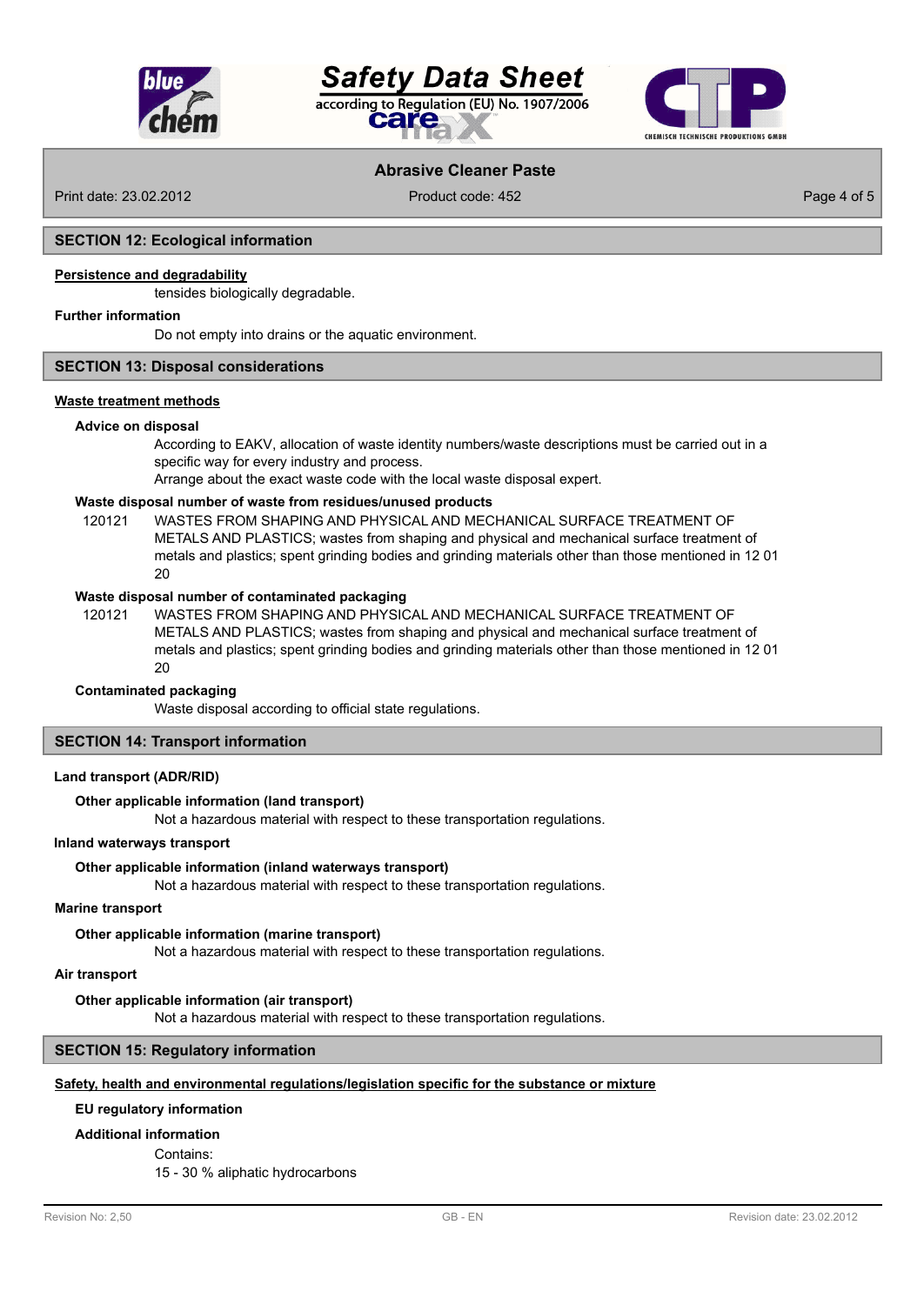





# **Abrasive Cleaner Paste**

Print date: 23.02.2012 Product code: 452 Page 4 of 5

# **SECTION 12: Ecological information**

# **Persistence and degradability**

tensides biologically degradable.

#### **Further information**

Do not empty into drains or the aquatic environment.

## **SECTION 13: Disposal considerations**

# **Waste treatment methods**

#### **Advice on disposal**

According to EAKV, allocation of waste identity numbers/waste descriptions must be carried out in a specific way for every industry and process.

Arrange about the exact waste code with the local waste disposal expert.

# **Waste disposal number of waste from residues/unused products**

120121 WASTES FROM SHAPING AND PHYSICAL AND MECHANICAL SURFACE TREATMENT OF METALS AND PLASTICS; wastes from shaping and physical and mechanical surface treatment of metals and plastics; spent grinding bodies and grinding materials other than those mentioned in 12 01  $20$ 

#### **Waste disposal number of contaminated packaging**

WASTES FROM SHAPING AND PHYSICAL AND MECHANICAL SURFACE TREATMENT OF METALS AND PLASTICS; wastes from shaping and physical and mechanical surface treatment of metals and plastics; spent grinding bodies and grinding materials other than those mentioned in 12 01  $20$ 120121

#### **Contaminated packaging**

Waste disposal according to official state regulations.

# **SECTION 14: Transport information**

#### **Land transport (ADR/RID)**

## **Other applicable information (land transport)**

Not a hazardous material with respect to these transportation regulations.

#### **Inland waterways transport**

#### **Other applicable information (inland waterways transport)**

Not a hazardous material with respect to these transportation regulations.

#### **Marine transport**

**Other applicable information (marine transport)**

Not a hazardous material with respect to these transportation regulations.

#### **Air transport**

#### **Other applicable information (air transport)**

Not a hazardous material with respect to these transportation regulations.

#### **SECTION 15: Regulatory information**

# **Safety, health and environmental regulations/legislation specific for the substance or mixture**

# **EU regulatory information**

#### **Additional information**

Contains:

15 - 30 % aliphatic hydrocarbons